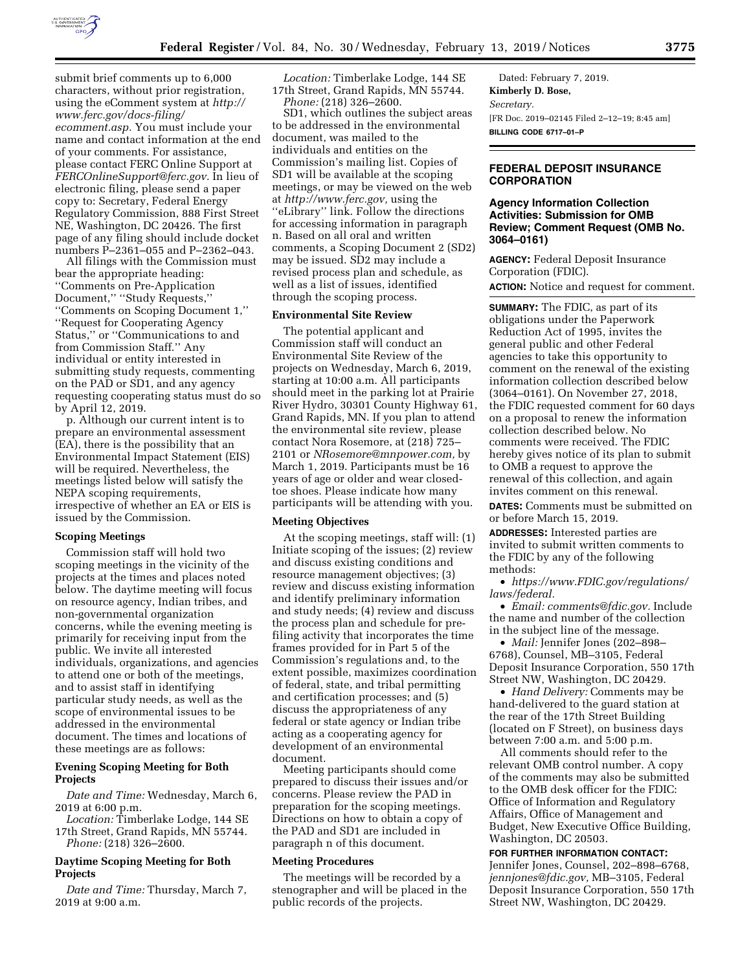

submit brief comments up to 6,000 characters, without prior registration, using the eComment system at *[http://](http://www.ferc.gov/docs-filing/ecomment.asp) [www.ferc.gov/docs-filing/](http://www.ferc.gov/docs-filing/ecomment.asp)  [ecomment.asp.](http://www.ferc.gov/docs-filing/ecomment.asp)* You must include your name and contact information at the end of your comments. For assistance, please contact FERC Online Support at *[FERCOnlineSupport@ferc.gov.](mailto:FERCOnlineSupport@ferc.gov)* In lieu of electronic filing, please send a paper copy to: Secretary, Federal Energy Regulatory Commission, 888 First Street NE, Washington, DC 20426. The first page of any filing should include docket numbers P–2361–055 and P–2362–043.

All filings with the Commission must bear the appropriate heading: ''Comments on Pre-Application Document,'' ''Study Requests,'' ''Comments on Scoping Document 1,'' ''Request for Cooperating Agency Status,'' or ''Communications to and from Commission Staff.'' Any individual or entity interested in submitting study requests, commenting on the PAD or SD1, and any agency requesting cooperating status must do so by April 12, 2019.

p. Although our current intent is to prepare an environmental assessment (EA), there is the possibility that an Environmental Impact Statement (EIS) will be required. Nevertheless, the meetings listed below will satisfy the NEPA scoping requirements, irrespective of whether an EA or EIS is issued by the Commission.

#### **Scoping Meetings**

Commission staff will hold two scoping meetings in the vicinity of the projects at the times and places noted below. The daytime meeting will focus on resource agency, Indian tribes, and non-governmental organization concerns, while the evening meeting is primarily for receiving input from the public. We invite all interested individuals, organizations, and agencies to attend one or both of the meetings, and to assist staff in identifying particular study needs, as well as the scope of environmental issues to be addressed in the environmental document. The times and locations of these meetings are as follows:

### **Evening Scoping Meeting for Both Projects**

*Date and Time:* Wednesday, March 6, 2019 at 6:00 p.m.

*Location:* Timberlake Lodge, 144 SE 17th Street, Grand Rapids, MN 55744. *Phone:* (218) 326–2600.

#### **Daytime Scoping Meeting for Both Projects**

*Date and Time:* Thursday, March 7, 2019 at 9:00 a.m.

*Location:* Timberlake Lodge, 144 SE 17th Street, Grand Rapids, MN 55744. *Phone:* (218) 326–2600.

SD1, which outlines the subject areas to be addressed in the environmental document, was mailed to the individuals and entities on the Commission's mailing list. Copies of SD1 will be available at the scoping meetings, or may be viewed on the web at *[http://www.ferc.gov,](http://www.ferc.gov)* using the ''eLibrary'' link. Follow the directions for accessing information in paragraph n. Based on all oral and written comments, a Scoping Document 2 (SD2) may be issued. SD2 may include a revised process plan and schedule, as well as a list of issues, identified through the scoping process.

#### **Environmental Site Review**

The potential applicant and Commission staff will conduct an Environmental Site Review of the projects on Wednesday, March 6, 2019, starting at 10:00 a.m. All participants should meet in the parking lot at Prairie River Hydro, 30301 County Highway 61, Grand Rapids, MN. If you plan to attend the environmental site review, please contact Nora Rosemore, at (218) 725– 2101 or *[NRosemore@mnpower.com,](mailto:NRosemore@mnpower.com)* by March 1, 2019. Participants must be 16 years of age or older and wear closedtoe shoes. Please indicate how many participants will be attending with you.

#### **Meeting Objectives**

At the scoping meetings, staff will: (1) Initiate scoping of the issues; (2) review and discuss existing conditions and resource management objectives; (3) review and discuss existing information and identify preliminary information and study needs; (4) review and discuss the process plan and schedule for prefiling activity that incorporates the time frames provided for in Part 5 of the Commission's regulations and, to the extent possible, maximizes coordination of federal, state, and tribal permitting and certification processes; and (5) discuss the appropriateness of any federal or state agency or Indian tribe acting as a cooperating agency for development of an environmental document.

Meeting participants should come prepared to discuss their issues and/or concerns. Please review the PAD in preparation for the scoping meetings. Directions on how to obtain a copy of the PAD and SD1 are included in paragraph n of this document.

## **Meeting Procedures**

The meetings will be recorded by a stenographer and will be placed in the public records of the projects.

Dated: February 7, 2019. **Kimberly D. Bose,**  *Secretary.*  [FR Doc. 2019–02145 Filed 2–12–19; 8:45 am] **BILLING CODE 6717–01–P** 

#### **FEDERAL DEPOSIT INSURANCE CORPORATION**

### **Agency Information Collection Activities: Submission for OMB Review; Comment Request (OMB No. 3064–0161)**

**AGENCY:** Federal Deposit Insurance Corporation (FDIC). **ACTION:** Notice and request for comment.

**SUMMARY:** The FDIC, as part of its obligations under the Paperwork Reduction Act of 1995, invites the general public and other Federal agencies to take this opportunity to comment on the renewal of the existing information collection described below (3064–0161). On November 27, 2018, the FDIC requested comment for 60 days on a proposal to renew the information collection described below. No comments were received. The FDIC hereby gives notice of its plan to submit to OMB a request to approve the renewal of this collection, and again invites comment on this renewal.

**DATES:** Comments must be submitted on or before March 15, 2019.

**ADDRESSES:** Interested parties are invited to submit written comments to the FDIC by any of the following methods:

• *[https://www.FDIC.gov/regulations/](https://www.FDIC.gov/regulations/laws/federal) [laws/federal.](https://www.FDIC.gov/regulations/laws/federal)* 

• *Email: [comments@fdic.gov.](mailto:comments@fdic.gov)* Include the name and number of the collection in the subject line of the message.

• *Mail:* Jennifer Jones (202–898– 6768), Counsel, MB–3105, Federal Deposit Insurance Corporation, 550 17th Street NW, Washington, DC 20429.

• *Hand Delivery:* Comments may be hand-delivered to the guard station at the rear of the 17th Street Building (located on F Street), on business days between 7:00 a.m. and 5:00 p.m.

All comments should refer to the relevant OMB control number. A copy of the comments may also be submitted to the OMB desk officer for the FDIC: Office of Information and Regulatory Affairs, Office of Management and Budget, New Executive Office Building, Washington, DC 20503.

**FOR FURTHER INFORMATION CONTACT:**  Jennifer Jones, Counsel, 202–898–6768, *[jennjones@fdic.gov,](mailto:jennjones@fdic.gov)* MB–3105, Federal Deposit Insurance Corporation, 550 17th Street NW, Washington, DC 20429.